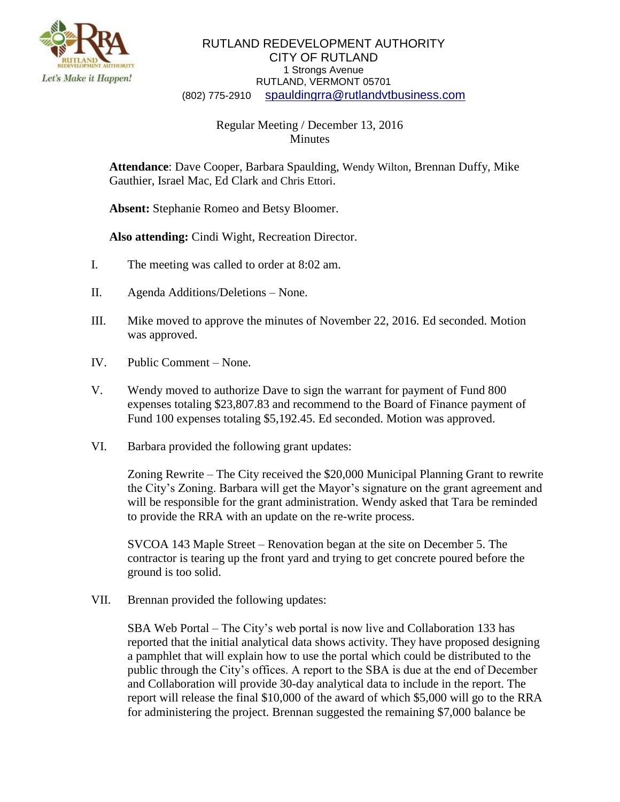

## RUTLAND REDEVELOPMENT AUTHORITY CITY OF RUTLAND 1 Strongs Avenue RUTLAND, VERMONT 05701 (802) 775-2910 [spauldingrra@rutlandvtbusiness.com](mailto:allenrra@rutlandvtbusiness.com)

## Regular Meeting / December 13, 2016 Minutes

**Attendance**: Dave Cooper, Barbara Spaulding, Wendy Wilton, Brennan Duffy, Mike Gauthier, Israel Mac, Ed Clark and Chris Ettori.

**Absent:** Stephanie Romeo and Betsy Bloomer.

**Also attending:** Cindi Wight, Recreation Director.

- I. The meeting was called to order at 8:02 am.
- II. Agenda Additions/Deletions None.
- III. Mike moved to approve the minutes of November 22, 2016. Ed seconded. Motion was approved.
- IV. Public Comment None.
- V. Wendy moved to authorize Dave to sign the warrant for payment of Fund 800 expenses totaling \$23,807.83 and recommend to the Board of Finance payment of Fund 100 expenses totaling \$5,192.45. Ed seconded. Motion was approved.
- VI. Barbara provided the following grant updates:

Zoning Rewrite – The City received the \$20,000 Municipal Planning Grant to rewrite the City's Zoning. Barbara will get the Mayor's signature on the grant agreement and will be responsible for the grant administration. Wendy asked that Tara be reminded to provide the RRA with an update on the re-write process.

SVCOA 143 Maple Street – Renovation began at the site on December 5. The contractor is tearing up the front yard and trying to get concrete poured before the ground is too solid.

VII. Brennan provided the following updates:

SBA Web Portal – The City's web portal is now live and Collaboration 133 has reported that the initial analytical data shows activity. They have proposed designing a pamphlet that will explain how to use the portal which could be distributed to the public through the City's offices. A report to the SBA is due at the end of December and Collaboration will provide 30-day analytical data to include in the report. The report will release the final \$10,000 of the award of which \$5,000 will go to the RRA for administering the project. Brennan suggested the remaining \$7,000 balance be